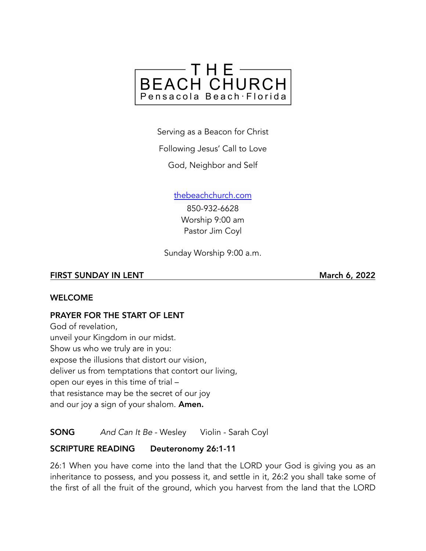

Serving as a Beacon for Christ

Following Jesus' Call to Love

God, Neighbor and Self

[thebeachchurch.com](http://thebeachchurch.com)

850-932-6628 Worship 9:00 am Pastor Jim Coyl

Sunday Worship 9:00 a.m.

### FIRST SUNDAY IN LENT **March 6, 2022**

#### WELCOME

### PRAYER FOR THE START OF LENT

God of revelation, unveil your Kingdom in our midst. Show us who we truly are in you: expose the illusions that distort our vision, deliver us from temptations that contort our living, open our eyes in this time of trial – that resistance may be the secret of our joy and our joy a sign of your shalom. **Amen.** 

**SONG** And Can It Be - Wesley Violin - Sarah Coyl

### SCRIPTURE READING Deuteronomy 26:1-11

26:1 When you have come into the land that the LORD your God is giving you as an inheritance to possess, and you possess it, and settle in it, 26:2 you shall take some of the first of all the fruit of the ground, which you harvest from the land that the LORD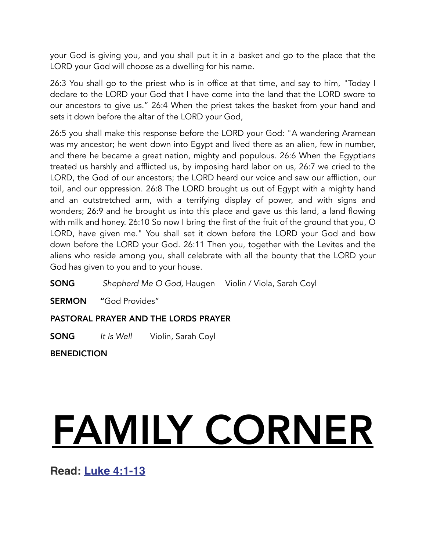your God is giving you, and you shall put it in a basket and go to the place that the LORD your God will choose as a dwelling for his name.

26:3 You shall go to the priest who is in office at that time, and say to him, "Today I declare to the LORD your God that I have come into the land that the LORD swore to our ancestors to give us." 26:4 When the priest takes the basket from your hand and sets it down before the altar of the LORD your God,

26:5 you shall make this response before the LORD your God: "A wandering Aramean was my ancestor; he went down into Egypt and lived there as an alien, few in number, and there he became a great nation, mighty and populous. 26:6 When the Egyptians treated us harshly and afflicted us, by imposing hard labor on us, 26:7 we cried to the LORD, the God of our ancestors; the LORD heard our voice and saw our affliction, our toil, and our oppression. 26:8 The LORD brought us out of Egypt with a mighty hand and an outstretched arm, with a terrifying display of power, and with signs and wonders; 26:9 and he brought us into this place and gave us this land, a land flowing with milk and honey. 26:10 So now I bring the first of the fruit of the ground that you, O LORD, have given me." You shall set it down before the LORD your God and bow down before the LORD your God. 26:11 Then you, together with the Levites and the aliens who reside among you, shall celebrate with all the bounty that the LORD your God has given to you and to your house.

SONG *Shepherd Me O God,* Haugen Violin / Viola, Sarah Coyl

SERMON "God Provides"

PASTORAL PRAYER AND THE LORDS PRAYER

SONG *It Is Well* Violin, Sarah Coyl

BENEDICTION

# FAMILY CORNER

**Read: [Luke 4:1-13](https://www.biblegateway.com/passage/?search=luke+4%3A1-13&version=CEB)**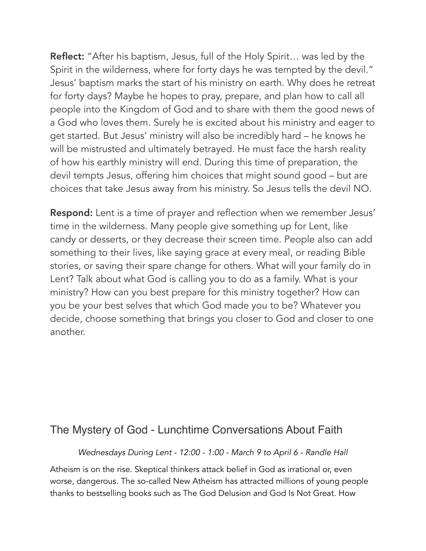Reflect: "After his baptism, Jesus, full of the Holy Spirit... was led by the Spirit in the wilderness, where for forty days he was tempted by the devil." Jesus' baptism marks the start of his ministry on earth. Why does he retreat for forty days? Maybe he hopes to pray, prepare, and plan how to call all people into the Kingdom of God and to share with them the good news of a God who loves them. Surely he is excited about his ministry and eager to get started. But Jesus' ministry will also be incredibly hard – he knows he will be mistrusted and ultimately betrayed. He must face the harsh reality of how his earthly ministry will end. During this time of preparation, the devil tempts Jesus, offering him choices that might sound good – but are choices that take Jesus away from his ministry. So Jesus tells the devil NO.

Respond: Lent is a time of prayer and reflection when we remember Jesus' time in the wilderness. Many people give something up for Lent, like candy or desserts, or they decrease their screen time. People also can add something to their lives, like saying grace at every meal, or reading Bible stories, or saving their spare change for others. What will your family do in Lent? Talk about what God is calling you to do as a family. What is your ministry? How can you best prepare for this ministry together? How can you be your best selves that which God made you to be? Whatever you decide, choose something that brings you closer to God and closer to one another.

## The Mystery of God - Lunchtime Conversations About Faith

*Wednesdays During Lent - 12:00 - 1:00 - March 9 to April 6 - Randle Hall*

Atheism is on the rise. Skeptical thinkers attack belief in God as irrational or, even worse, dangerous. The so-called New Atheism has attracted millions of young people thanks to bestselling books such as The God Delusion and God Is Not Great. How